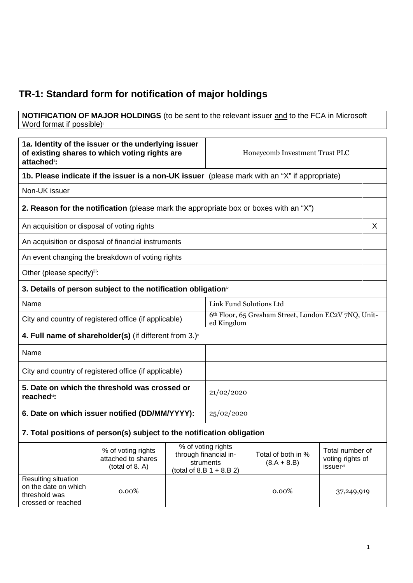## **TR-1: Standard form for notification of major holdings**

## **NOTIFICATION OF MAJOR HOLDINGS** (to be sent to the relevant issuer and to the FCA in Microsoft Word format if possible)

| 1a. Identity of the issuer or the underlying issuer<br>of existing shares to which voting rights are<br>attached <sup>®</sup> : |                                                                                               | Honeycomb Investment Trust PLC |                                                                                         |                                     |                                                          |   |
|---------------------------------------------------------------------------------------------------------------------------------|-----------------------------------------------------------------------------------------------|--------------------------------|-----------------------------------------------------------------------------------------|-------------------------------------|----------------------------------------------------------|---|
|                                                                                                                                 | 1b. Please indicate if the issuer is a non-UK issuer (please mark with an "X" if appropriate) |                                |                                                                                         |                                     |                                                          |   |
| Non-UK issuer                                                                                                                   |                                                                                               |                                |                                                                                         |                                     |                                                          |   |
|                                                                                                                                 | <b>2. Reason for the notification</b> (please mark the appropriate box or boxes with an "X")  |                                |                                                                                         |                                     |                                                          |   |
| An acquisition or disposal of voting rights                                                                                     |                                                                                               |                                |                                                                                         |                                     |                                                          | X |
|                                                                                                                                 | An acquisition or disposal of financial instruments                                           |                                |                                                                                         |                                     |                                                          |   |
|                                                                                                                                 | An event changing the breakdown of voting rights                                              |                                |                                                                                         |                                     |                                                          |   |
| Other (please specify)iii:                                                                                                      |                                                                                               |                                |                                                                                         |                                     |                                                          |   |
| 3. Details of person subject to the notification obligation <sup>*</sup>                                                        |                                                                                               |                                |                                                                                         |                                     |                                                          |   |
| Name                                                                                                                            |                                                                                               |                                | Link Fund Solutions Ltd                                                                 |                                     |                                                          |   |
| City and country of registered office (if applicable)                                                                           |                                                                                               |                                | 6th Floor, 65 Gresham Street, London EC2V 7NQ, Unit-<br>ed Kingdom                      |                                     |                                                          |   |
| 4. Full name of shareholder(s) (if different from $3.$ ) $\vee$                                                                 |                                                                                               |                                |                                                                                         |                                     |                                                          |   |
| Name                                                                                                                            |                                                                                               |                                |                                                                                         |                                     |                                                          |   |
| City and country of registered office (if applicable)                                                                           |                                                                                               |                                |                                                                                         |                                     |                                                          |   |
| 5. Date on which the threshold was crossed or<br>reached <sup>vi</sup> :                                                        |                                                                                               |                                | 21/02/2020                                                                              |                                     |                                                          |   |
| 6. Date on which issuer notified (DD/MM/YYYY):                                                                                  |                                                                                               | 25/02/2020                     |                                                                                         |                                     |                                                          |   |
|                                                                                                                                 | 7. Total positions of person(s) subject to the notification obligation                        |                                |                                                                                         |                                     |                                                          |   |
|                                                                                                                                 | % of voting rights<br>attached to shares<br>(total of 8. A)                                   |                                | % of voting rights<br>through financial in-<br>struments<br>(total of 8.B $1 + 8.B 2$ ) | Total of both in %<br>$(8.A + 8.B)$ | Total number of<br>voting rights of<br><b>issuer</b> vii |   |
| Resulting situation<br>on the date on which<br>threshold was<br>crossed or reached                                              | 0.00%                                                                                         |                                |                                                                                         | 0.00%                               | 37,249,919                                               |   |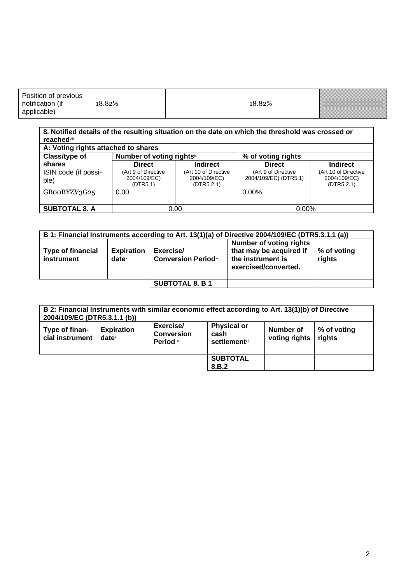## **8. Notified details of the resulting situation on the date on which the threshold was crossed or reached**viii

| A: Voting rights attached to shares |                                                 |                                                    |                                              |                                                    |
|-------------------------------------|-------------------------------------------------|----------------------------------------------------|----------------------------------------------|----------------------------------------------------|
| Class/type of                       | Number of voting rights <sup>ix</sup>           |                                                    | % of voting rights                           |                                                    |
| shares                              | <b>Direct</b>                                   | <b>Indirect</b>                                    | <b>Direct</b>                                | <b>Indirect</b>                                    |
| ISIN code (if possi-<br>ble)        | (Art 9 of Directive<br>2004/109/EC)<br>(DTR5.1) | (Art 10 of Directive<br>2004/109/EC)<br>(DTR5.2.1) | (Art 9 of Directive<br>2004/109/EC) (DTR5.1) | (Art 10 of Directive<br>2004/109/EC)<br>(DTR5.2.1) |
| GB00BYZV3G25                        | 0.00                                            |                                                    | $0.00\%$                                     |                                                    |
|                                     |                                                 |                                                    |                                              |                                                    |
| <b>SUBTOTAL 8. A</b>                | 0.00                                            |                                                    | $0.00\%$                                     |                                                    |

| B 1: Financial Instruments according to Art. 13(1)(a) of Directive 2004/109/EC (DTR5.3.1.1 (a)) |                               |                                         |                                                                                                 |                       |
|-------------------------------------------------------------------------------------------------|-------------------------------|-----------------------------------------|-------------------------------------------------------------------------------------------------|-----------------------|
| <b>Type of financial</b><br><b>instrument</b>                                                   | <b>Expiration</b><br>$date^x$ | Exercise/<br><b>Conversion Periodxi</b> | Number of voting rights<br>that may be acquired if<br>the instrument is<br>exercised/converted. | % of voting<br>rights |
|                                                                                                 |                               |                                         |                                                                                                 |                       |
|                                                                                                 |                               | <b>SUBTOTAL 8. B 1</b>                  |                                                                                                 |                       |

| 2004/109/EC (DTR5.3.1.1 (b))      |                               |                                             | B 2: Financial Instruments with similar economic effect according to Art. 13(1)(b) of Directive |                            |                       |
|-----------------------------------|-------------------------------|---------------------------------------------|-------------------------------------------------------------------------------------------------|----------------------------|-----------------------|
| Type of finan-<br>cial instrument | <b>Expiration</b><br>$date^x$ | Exercise/<br><b>Conversion</b><br>Period xi | <b>Physical or</b><br>cash<br><b>settlement</b> xii                                             | Number of<br>voting rights | % of voting<br>rights |
|                                   |                               |                                             |                                                                                                 |                            |                       |
|                                   |                               |                                             | <b>SUBTOTAL</b>                                                                                 |                            |                       |
|                                   |                               |                                             | 8.B.2                                                                                           |                            |                       |